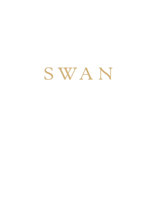SWAN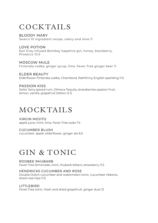### COCKTAILS

BLOODY MARY Swan's 10 ingredient recipe, celery and olive 11

LOVE POTION Earl Grey infused Bombay Sapphire gin, honey, blackberry, Prosecco 10.5

MOSCOW MULE Finlandia vodka, ginger syrup, lime, Fever-Tree ginger beer 11

ELDER BEAUTY Elderflower Finlandia vodka, Chambord, Rathfinny English sparkling 11.5

### PASSION KISS

Sailor Jerry spiced rum, Olmeca Tequila, strawberries passion fruit, lemon, vanilla, grapefruit bitters 12.5

## MOCKTAILS

VIRGIN MOJITO apple juice, mint, lime, Fever-Tree soda 7.5

CUCUMBER BLUSH cucumber, apple, elderflower, ginger ale 8.5

### GIN & TONIC

ROOBEE RHUBARB Fever-Tree lemonade, mint, rhubarb bitters, strawberry 11.5

HENDRICKS CUCUMBER AND ROSE Double Dutch cucumber and watermelon tonic, cucumber ribbons, dried rose hips 11.5

LITTLEBIRD Fever-Tree tonic, fresh and dried grapefruit, ginger dust 12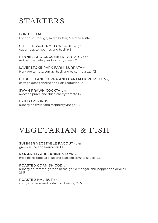### STARTERS

FOR THE TABLE  $\vee$ London sourdough, salted butter, Marmite butter

CHILLED WATERMELON SOUP ve af cucumber, tomberries and basil 9.5

FENNEL AND CUCUMBER TARTAR ve of red pepper, celery and a sherry cream 11

LAVERSTOKE PARK FARM BURRATA v Heritage tomato, sumac, basil and balsamic glaze 12

COBBLE LANE COPPA AND CANTALOUPE MELON gf cottage goat's cheese and Port reduction 12

SWAN PRAWN COCKTAIL of avocado puree and dried cherry tomato 13

FRIED OCTOPUS aubergine caviar and raspberry vinegar 14

# VEGETARIAN & FISH

### SUMMER VEGETABLE RAGOUT ve gf

green sauce and Parmesan 19.5

PAN-FRIED AUBERGINE STACK ve gf miso glaze, tapioca crisp and a spiced tomato sauce 19.5

ROASTED CORNISH COD gf aubergine, tomato, garden herbs, garlic, vinegar, chili pepper and olive oil 26.5

ROASTED HALIBUT gf courgette, basil and pistachio dressing 29.5